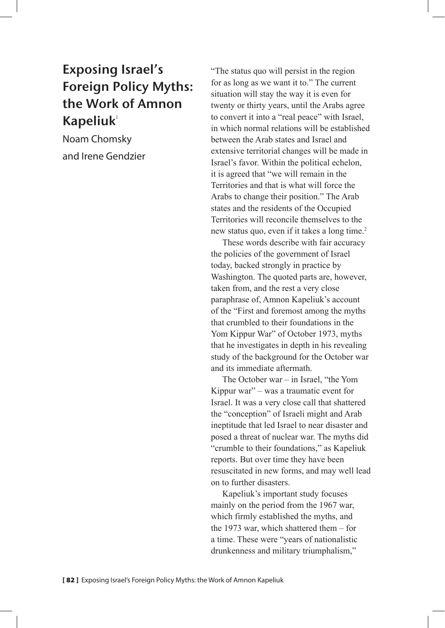## Exposing Israel's Foreign Policy Myths: the Work of Amnon  $K$ apeliuk<sup>1</sup>

Noam Chomsky and Irene Gendzier "The status quo will persist in the region for as long as we want it to." The current situation will stay the way it is even for twenty or thirty years, until the Arabs agree to convert it into a "real peace" with Israel, in which normal relations will be established between the Arab states and Israel and extensive territorial changes will be made in Israel's favor. Within the political echelon, it is agreed that "we will remain in the Territories and that is what will force the Arabs to change their position." The Arab states and the residents of the Occupied Territories will reconcile themselves to the new status quo, even if it takes a long time.<sup>2</sup>

These words describe with fair accuracy the policies of the government of Israel today, backed strongly in practice by Washington. The quoted parts are, however, taken from, and the rest a very close paraphrase of, Amnon Kapeliuk's account of the "First and foremost among the myths that crumbled to their foundations in the Yom Kippur War" of October 1973, myths that he investigates in depth in his revealing study of the background for the October war and its immediate aftermath.

The October war – in Israel, "the Yom Kippur war" – was a traumatic event for Israel. It was a very close call that shattered the "conception" of Israeli might and Arab ineptitude that led Israel to near disaster and posed a threat of nuclear war. The myths did "crumble to their foundations," as Kapeliuk reports. But over time they have been resuscitated in new forms, and may well lead on to further disasters.

Kapeliuk's important study focuses mainly on the period from the 1967 war, which firmly established the myths, and the 1973 war, which shattered them – for a time. These were "years of nationalistic drunkenness and military triumphalism,"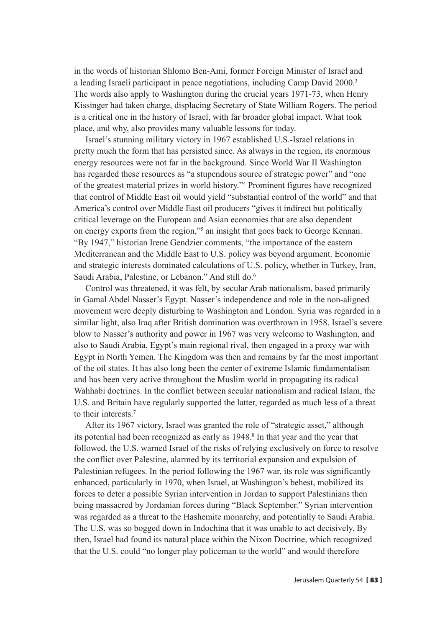in the words of historian Shlomo Ben-Ami, former Foreign Minister of Israel and a leading Israeli participant in peace negotiations, including Camp David 2000.3 The words also apply to Washington during the crucial years 1971-73, when Henry Kissinger had taken charge, displacing Secretary of State William Rogers. The period is a critical one in the history of Israel, with far broader global impact. What took place, and why, also provides many valuable lessons for today.

Israel's stunning military victory in 1967 established U.S.-Israel relations in pretty much the form that has persisted since. As always in the region, its enormous energy resources were not far in the background. Since World War II Washington has regarded these resources as "a stupendous source of strategic power" and "one of the greatest material prizes in world history."4 Prominent figures have recognized that control of Middle East oil would yield "substantial control of the world" and that America's control over Middle East oil producers "gives it indirect but politically critical leverage on the European and Asian economies that are also dependent on energy exports from the region,"5 an insight that goes back to George Kennan. "By 1947," historian Irene Gendzier comments, "the importance of the eastern Mediterranean and the Middle East to U.S. policy was beyond argument. Economic and strategic interests dominated calculations of U.S. policy, whether in Turkey, Iran, Saudi Arabia, Palestine, or Lebanon." And still do.<sup>6</sup>

Control was threatened, it was felt, by secular Arab nationalism, based primarily in Gamal Abdel Nasser's Egypt. Nasser's independence and role in the non-aligned movement were deeply disturbing to Washington and London. Syria was regarded in a similar light, also Iraq after British domination was overthrown in 1958. Israel's severe blow to Nasser's authority and power in 1967 was very welcome to Washington, and also to Saudi Arabia, Egypt's main regional rival, then engaged in a proxy war with Egypt in North Yemen. The Kingdom was then and remains by far the most important of the oil states. It has also long been the center of extreme Islamic fundamentalism and has been very active throughout the Muslim world in propagating its radical Wahhabi doctrines. In the conflict between secular nationalism and radical Islam, the U.S. and Britain have regularly supported the latter, regarded as much less of a threat to their interests.7

After its 1967 victory, Israel was granted the role of "strategic asset," although its potential had been recognized as early as 1948.<sup>8</sup> In that year and the year that followed, the U.S. warned Israel of the risks of relying exclusively on force to resolve the conflict over Palestine, alarmed by its territorial expansion and expulsion of Palestinian refugees. In the period following the 1967 war, its role was significantly enhanced, particularly in 1970, when Israel, at Washington's behest, mobilized its forces to deter a possible Syrian intervention in Jordan to support Palestinians then being massacred by Jordanian forces during "Black September." Syrian intervention was regarded as a threat to the Hashemite monarchy, and potentially to Saudi Arabia. The U.S. was so bogged down in Indochina that it was unable to act decisively. By then, Israel had found its natural place within the Nixon Doctrine, which recognized that the U.S. could "no longer play policeman to the world" and would therefore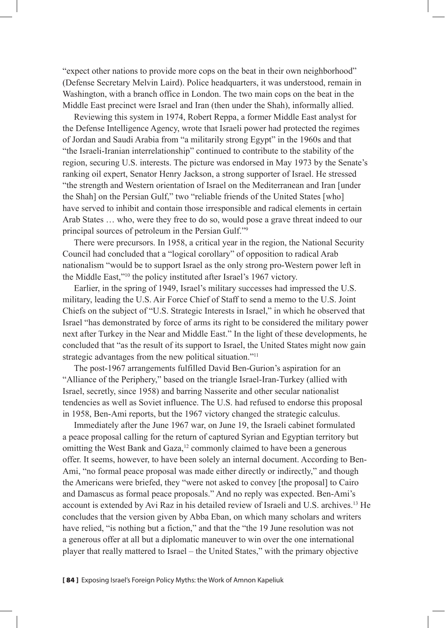"expect other nations to provide more cops on the beat in their own neighborhood" (Defense Secretary Melvin Laird). Police headquarters, it was understood, remain in Washington, with a branch office in London. The two main cops on the beat in the Middle East precinct were Israel and Iran (then under the Shah), informally allied.

Reviewing this system in 1974, Robert Reppa, a former Middle East analyst for the Defense Intelligence Agency, wrote that Israeli power had protected the regimes of Jordan and Saudi Arabia from "a militarily strong Egypt" in the 1960s and that "the Israeli-Iranian interrelationship" continued to contribute to the stability of the region, securing U.S. interests. The picture was endorsed in May 1973 by the Senate's ranking oil expert, Senator Henry Jackson, a strong supporter of Israel. He stressed "the strength and Western orientation of Israel on the Mediterranean and Iran [under the Shah] on the Persian Gulf," two "reliable friends of the United States [who] have served to inhibit and contain those irresponsible and radical elements in certain Arab States … who, were they free to do so, would pose a grave threat indeed to our principal sources of petroleum in the Persian Gulf."9

There were precursors. In 1958, a critical year in the region, the National Security Council had concluded that a "logical corollary" of opposition to radical Arab nationalism "would be to support Israel as the only strong pro-Western power left in the Middle East,"10 the policy instituted after Israel's 1967 victory.

Earlier, in the spring of 1949, Israel's military successes had impressed the U.S. military, leading the U.S. Air Force Chief of Staff to send a memo to the U.S. Joint Chiefs on the subject of "U.S. Strategic Interests in Israel," in which he observed that Israel "has demonstrated by force of arms its right to be considered the military power next after Turkey in the Near and Middle East." In the light of these developments, he concluded that "as the result of its support to Israel, the United States might now gain strategic advantages from the new political situation."<sup>11</sup>

The post-1967 arrangements fulfilled David Ben-Gurion's aspiration for an "Alliance of the Periphery," based on the triangle Israel-Iran-Turkey (allied with Israel, secretly, since 1958) and barring Nasserite and other secular nationalist tendencies as well as Soviet influence. The U.S. had refused to endorse this proposal in 1958, Ben-Ami reports, but the 1967 victory changed the strategic calculus.

Immediately after the June 1967 war, on June 19, the Israeli cabinet formulated a peace proposal calling for the return of captured Syrian and Egyptian territory but omitting the West Bank and Gaza,<sup>12</sup> commonly claimed to have been a generous offer. It seems, however, to have been solely an internal document. According to Ben-Ami, "no formal peace proposal was made either directly or indirectly," and though the Americans were briefed, they "were not asked to convey [the proposal] to Cairo and Damascus as formal peace proposals." And no reply was expected. Ben-Ami's account is extended by Avi Raz in his detailed review of Israeli and U.S. archives.13 He concludes that the version given by Abba Eban, on which many scholars and writers have relied, "is nothing but a fiction," and that the "the 19 June resolution was not a generous offer at all but a diplomatic maneuver to win over the one international player that really mattered to Israel – the United States," with the primary objective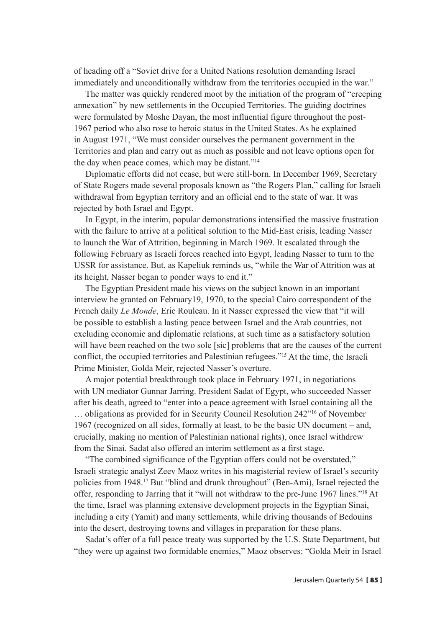of heading off a "Soviet drive for a United Nations resolution demanding Israel immediately and unconditionally withdraw from the territories occupied in the war."

The matter was quickly rendered moot by the initiation of the program of "creeping annexation" by new settlements in the Occupied Territories. The guiding doctrines were formulated by Moshe Dayan, the most influential figure throughout the post-1967 period who also rose to heroic status in the United States. As he explained in August 1971, "We must consider ourselves the permanent government in the Territories and plan and carry out as much as possible and not leave options open for the day when peace comes, which may be distant."14

Diplomatic efforts did not cease, but were still-born. In December 1969, Secretary of State Rogers made several proposals known as "the Rogers Plan," calling for Israeli withdrawal from Egyptian territory and an official end to the state of war. It was rejected by both Israel and Egypt.

In Egypt, in the interim, popular demonstrations intensified the massive frustration with the failure to arrive at a political solution to the Mid-East crisis, leading Nasser to launch the War of Attrition, beginning in March 1969. It escalated through the following February as Israeli forces reached into Egypt, leading Nasser to turn to the USSR for assistance. But, as Kapeliuk reminds us, "while the War of Attrition was at its height, Nasser began to ponder ways to end it."

The Egyptian President made his views on the subject known in an important interview he granted on February19, 1970, to the special Cairo correspondent of the French daily *Le Monde*, Eric Rouleau. In it Nasser expressed the view that "it will be possible to establish a lasting peace between Israel and the Arab countries, not excluding economic and diplomatic relations, at such time as a satisfactory solution will have been reached on the two sole [sic] problems that are the causes of the current conflict, the occupied territories and Palestinian refugees."15 At the time, the Israeli Prime Minister, Golda Meir, rejected Nasser's overture.

A major potential breakthrough took place in February 1971, in negotiations with UN mediator Gunnar Jarring. President Sadat of Egypt, who succeeded Nasser after his death, agreed to "enter into a peace agreement with Israel containing all the … obligations as provided for in Security Council Resolution 242"16 of November 1967 (recognized on all sides, formally at least, to be the basic UN document – and, crucially, making no mention of Palestinian national rights), once Israel withdrew from the Sinai. Sadat also offered an interim settlement as a first stage.

"The combined significance of the Egyptian offers could not be overstated," Israeli strategic analyst Zeev Maoz writes in his magisterial review of Israel's security policies from 1948.17 But "blind and drunk throughout" (Ben-Ami), Israel rejected the offer, responding to Jarring that it "will not withdraw to the pre-June 1967 lines."18 At the time, Israel was planning extensive development projects in the Egyptian Sinai, including a city (Yamit) and many settlements, while driving thousands of Bedouins into the desert, destroying towns and villages in preparation for these plans.

Sadat's offer of a full peace treaty was supported by the U.S. State Department, but "they were up against two formidable enemies," Maoz observes: "Golda Meir in Israel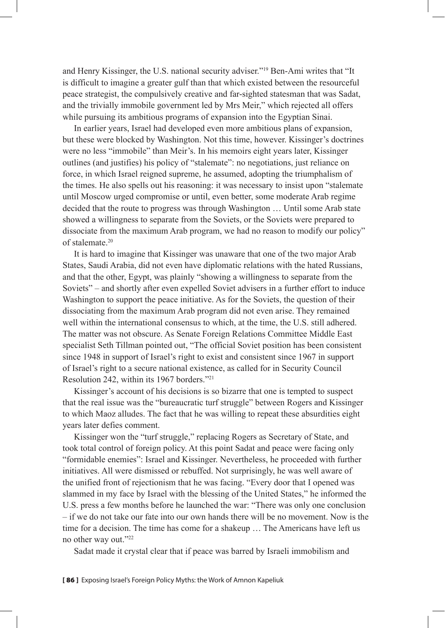and Henry Kissinger, the U.S. national security adviser."19 Ben-Ami writes that "It is difficult to imagine a greater gulf than that which existed between the resourceful peace strategist, the compulsively creative and far-sighted statesman that was Sadat, and the trivially immobile government led by Mrs Meir," which rejected all offers while pursuing its ambitious programs of expansion into the Egyptian Sinai.

In earlier years, Israel had developed even more ambitious plans of expansion, but these were blocked by Washington. Not this time, however. Kissinger's doctrines were no less "immobile" than Meir's. In his memoirs eight years later, Kissinger outlines (and justifies) his policy of "stalemate": no negotiations, just reliance on force, in which Israel reigned supreme, he assumed, adopting the triumphalism of the times. He also spells out his reasoning: it was necessary to insist upon "stalemate until Moscow urged compromise or until, even better, some moderate Arab regime decided that the route to progress was through Washington … Until some Arab state showed a willingness to separate from the Soviets, or the Soviets were prepared to dissociate from the maximum Arab program, we had no reason to modify our policy" of stalemate.<sup>20</sup>

It is hard to imagine that Kissinger was unaware that one of the two major Arab States, Saudi Arabia, did not even have diplomatic relations with the hated Russians, and that the other, Egypt, was plainly "showing a willingness to separate from the Soviets" – and shortly after even expelled Soviet advisers in a further effort to induce Washington to support the peace initiative. As for the Soviets, the question of their dissociating from the maximum Arab program did not even arise. They remained well within the international consensus to which, at the time, the U.S. still adhered. The matter was not obscure. As Senate Foreign Relations Committee Middle East specialist Seth Tillman pointed out, "The official Soviet position has been consistent since 1948 in support of Israel's right to exist and consistent since 1967 in support of Israel's right to a secure national existence, as called for in Security Council Resolution 242, within its 1967 borders."21

Kissinger's account of his decisions is so bizarre that one is tempted to suspect that the real issue was the "bureaucratic turf struggle" between Rogers and Kissinger to which Maoz alludes. The fact that he was willing to repeat these absurdities eight years later defies comment.

Kissinger won the "turf struggle," replacing Rogers as Secretary of State, and took total control of foreign policy. At this point Sadat and peace were facing only "formidable enemies": Israel and Kissinger. Nevertheless, he proceeded with further initiatives. All were dismissed or rebuffed. Not surprisingly, he was well aware of the unified front of rejectionism that he was facing. "Every door that I opened was slammed in my face by Israel with the blessing of the United States," he informed the U.S. press a few months before he launched the war: "There was only one conclusion – if we do not take our fate into our own hands there will be no movement. Now is the time for a decision. The time has come for a shakeup … The Americans have left us no other way out."22

Sadat made it crystal clear that if peace was barred by Israeli immobilism and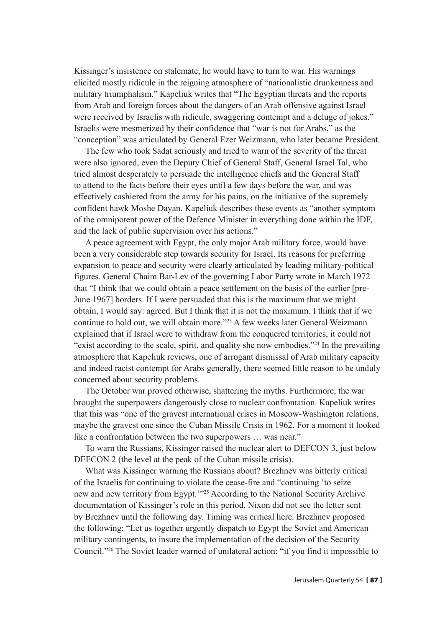Kissinger's insistence on stalemate, he would have to turn to war. His warnings elicited mostly ridicule in the reigning atmosphere of "nationalistic drunkenness and military triumphalism." Kapeliuk writes that "The Egyptian threats and the reports from Arab and foreign forces about the dangers of an Arab offensive against Israel were received by Israelis with ridicule, swaggering contempt and a deluge of jokes." Israelis were mesmerized by their confidence that "war is not for Arabs," as the "conception" was articulated by General Ezer Weizmann, who later became President.

The few who took Sadat seriously and tried to warn of the severity of the threat were also ignored, even the Deputy Chief of General Staff, General Israel Tal, who tried almost desperately to persuade the intelligence chiefs and the General Staff to attend to the facts before their eyes until a few days before the war, and was effectively cashiered from the army for his pains, on the initiative of the supremely confident hawk Moshe Dayan. Kapeliuk describes these events as "another symptom of the omnipotent power of the Defence Minister in everything done within the IDF, and the lack of public supervision over his actions."

A peace agreement with Egypt, the only major Arab military force, would have been a very considerable step towards security for Israel. Its reasons for preferring expansion to peace and security were clearly articulated by leading military-political figures. General Chaim Bar-Lev of the governing Labor Party wrote in March 1972 that "I think that we could obtain a peace settlement on the basis of the earlier [pre-June 1967] borders. If I were persuaded that this is the maximum that we might obtain, I would say: agreed. But I think that it is not the maximum. I think that if we continue to hold out, we will obtain more."23 A few weeks later General Weizmann explained that if Israel were to withdraw from the conquered territories, it could not "exist according to the scale, spirit, and quality she now embodies."24 In the prevailing atmosphere that Kapeliuk reviews, one of arrogant dismissal of Arab military capacity and indeed racist contempt for Arabs generally, there seemed little reason to be unduly concerned about security problems.

The October war proved otherwise, shattering the myths. Furthermore, the war brought the superpowers dangerously close to nuclear confrontation. Kapeliuk writes that this was "one of the gravest international crises in Moscow-Washington relations, maybe the gravest one since the Cuban Missile Crisis in 1962. For a moment it looked like a confrontation between the two superpowers … was near."

To warn the Russians, Kissinger raised the nuclear alert to DEFCON 3, just below DEFCON 2 (the level at the peak of the Cuban missile crisis).

What was Kissinger warning the Russians about? Brezhnev was bitterly critical of the Israelis for continuing to violate the cease-fire and "continuing 'to seize new and new territory from Egypt.'"25 According to the National Security Archive documentation of Kissinger's role in this period, Nixon did not see the letter sent by Brezhnev until the following day. Timing was critical here. Brezhnev proposed the following: "Let us together urgently dispatch to Egypt the Soviet and American military contingents, to insure the implementation of the decision of the Security Council."26 The Soviet leader warned of unilateral action: "if you find it impossible to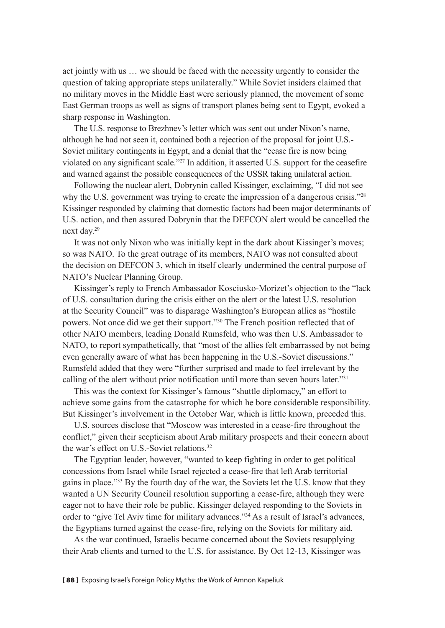act jointly with us … we should be faced with the necessity urgently to consider the question of taking appropriate steps unilaterally." While Soviet insiders claimed that no military moves in the Middle East were seriously planned, the movement of some East German troops as well as signs of transport planes being sent to Egypt, evoked a sharp response in Washington.

The U.S. response to Brezhnev's letter which was sent out under Nixon's name, although he had not seen it, contained both a rejection of the proposal for joint U.S.- Soviet military contingents in Egypt, and a denial that the "cease fire is now being violated on any significant scale."27 In addition, it asserted U.S. support for the ceasefire and warned against the possible consequences of the USSR taking unilateral action.

Following the nuclear alert, Dobrynin called Kissinger, exclaiming, "I did not see why the U.S. government was trying to create the impression of a dangerous crisis."<sup>28</sup> Kissinger responded by claiming that domestic factors had been major determinants of U.S. action, and then assured Dobrynin that the DEFCON alert would be cancelled the next day.29

It was not only Nixon who was initially kept in the dark about Kissinger's moves; so was NATO. To the great outrage of its members, NATO was not consulted about the decision on DEFCON 3, which in itself clearly undermined the central purpose of NATO's Nuclear Planning Group.

Kissinger's reply to French Ambassador Kosciusko-Morizet's objection to the "lack of U.S. consultation during the crisis either on the alert or the latest U.S. resolution at the Security Council" was to disparage Washington's European allies as "hostile powers. Not once did we get their support."30 The French position reflected that of other NATO members, leading Donald Rumsfeld, who was then U.S. Ambassador to NATO, to report sympathetically, that "most of the allies felt embarrassed by not being even generally aware of what has been happening in the U.S.-Soviet discussions." Rumsfeld added that they were "further surprised and made to feel irrelevant by the calling of the alert without prior notification until more than seven hours later."31

This was the context for Kissinger's famous "shuttle diplomacy," an effort to achieve some gains from the catastrophe for which he bore considerable responsibility. But Kissinger's involvement in the October War, which is little known, preceded this.

U.S. sources disclose that "Moscow was interested in a cease-fire throughout the conflict," given their scepticism about Arab military prospects and their concern about the war's effect on U.S.-Soviet relations.<sup>32</sup>

The Egyptian leader, however, "wanted to keep fighting in order to get political concessions from Israel while Israel rejected a cease-fire that left Arab territorial gains in place."33 By the fourth day of the war, the Soviets let the U.S. know that they wanted a UN Security Council resolution supporting a cease-fire, although they were eager not to have their role be public. Kissinger delayed responding to the Soviets in order to "give Tel Aviv time for military advances."34 As a result of Israel's advances, the Egyptians turned against the cease-fire, relying on the Soviets for military aid.

As the war continued, Israelis became concerned about the Soviets resupplying their Arab clients and turned to the U.S. for assistance. By Oct 12-13, Kissinger was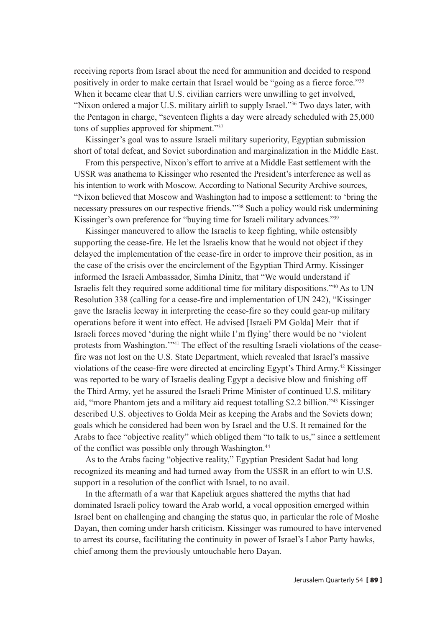receiving reports from Israel about the need for ammunition and decided to respond positively in order to make certain that Israel would be "going as a fierce force."35 When it became clear that U.S. civilian carriers were unwilling to get involved, "Nixon ordered a major U.S. military airlift to supply Israel."36 Two days later, with the Pentagon in charge, "seventeen flights a day were already scheduled with 25,000 tons of supplies approved for shipment."37

Kissinger's goal was to assure Israeli military superiority, Egyptian submission short of total defeat, and Soviet subordination and marginalization in the Middle East.

From this perspective, Nixon's effort to arrive at a Middle East settlement with the USSR was anathema to Kissinger who resented the President's interference as well as his intention to work with Moscow. According to National Security Archive sources, "Nixon believed that Moscow and Washington had to impose a settlement: to 'bring the necessary pressures on our respective friends.'"38 Such a policy would risk undermining Kissinger's own preference for "buying time for Israeli military advances."39

Kissinger maneuvered to allow the Israelis to keep fighting, while ostensibly supporting the cease-fire. He let the Israelis know that he would not object if they delayed the implementation of the cease-fire in order to improve their position, as in the case of the crisis over the encirclement of the Egyptian Third Army. Kissinger informed the Israeli Ambassador, Simha Dinitz, that "We would understand if Israelis felt they required some additional time for military dispositions."40 As to UN Resolution 338 (calling for a cease-fire and implementation of UN 242), "Kissinger gave the Israelis leeway in interpreting the cease-fire so they could gear-up military operations before it went into effect. He advised [Israeli PM Golda] Meir that if Israeli forces moved 'during the night while I'm flying' there would be no 'violent protests from Washington.'"41 The effect of the resulting Israeli violations of the ceasefire was not lost on the U.S. State Department, which revealed that Israel's massive violations of the cease-fire were directed at encircling Egypt's Third Army.42 Kissinger was reported to be wary of Israelis dealing Egypt a decisive blow and finishing off the Third Army, yet he assured the Israeli Prime Minister of continued U.S. military aid, "more Phantom jets and a military aid request totalling \$2.2 billion."43 Kissinger described U.S. objectives to Golda Meir as keeping the Arabs and the Soviets down; goals which he considered had been won by Israel and the U.S. It remained for the Arabs to face "objective reality" which obliged them "to talk to us," since a settlement of the conflict was possible only through Washington.<sup>44</sup>

As to the Arabs facing "objective reality," Egyptian President Sadat had long recognized its meaning and had turned away from the USSR in an effort to win U.S. support in a resolution of the conflict with Israel, to no avail.

In the aftermath of a war that Kapeliuk argues shattered the myths that had dominated Israeli policy toward the Arab world, a vocal opposition emerged within Israel bent on challenging and changing the status quo, in particular the role of Moshe Dayan, then coming under harsh criticism. Kissinger was rumoured to have intervened to arrest its course, facilitating the continuity in power of Israel's Labor Party hawks, chief among them the previously untouchable hero Dayan.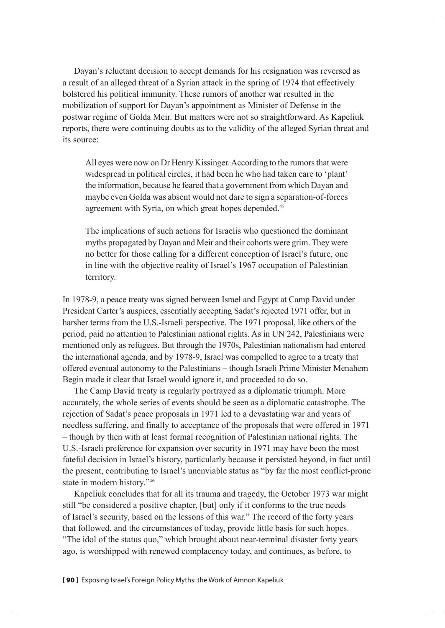Dayan's reluctant decision to accept demands for his resignation was reversed as a result of an alleged threat of a Syrian attack in the spring of 1974 that effectively bolstered his political immunity. These rumors of another war resulted in the mobilization of support for Dayan's appointment as Minister of Defense in the postwar regime of Golda Meir. But matters were not so straightforward. As Kapeliuk reports, there were continuing doubts as to the validity of the alleged Syrian threat and its source:

All eyes were now on Dr Henry Kissinger. According to the rumors that were widespread in political circles, it had been he who had taken care to 'plant' the information, because he feared that a government from which Dayan and maybe even Golda was absent would not dare to sign a separation-of-forces agreement with Syria, on which great hopes depended.<sup>45</sup>

The implications of such actions for Israelis who questioned the dominant myths propagated by Dayan and Meir and their cohorts were grim. They were no better for those calling for a different conception of Israel's future, one in line with the objective reality of Israel's 1967 occupation of Palestinian territory.

In 1978-9, a peace treaty was signed between Israel and Egypt at Camp David under President Carter's auspices, essentially accepting Sadat's rejected 1971 offer, but in harsher terms from the U.S.-Israeli perspective. The 1971 proposal, like others of the period, paid no attention to Palestinian national rights. As in UN 242, Palestinians were mentioned only as refugees. But through the 1970s, Palestinian nationalism had entered the international agenda, and by 1978-9, Israel was compelled to agree to a treaty that offered eventual autonomy to the Palestinians – though Israeli Prime Minister Menahem Begin made it clear that Israel would ignore it, and proceeded to do so.

The Camp David treaty is regularly portrayed as a diplomatic triumph. More accurately, the whole series of events should be seen as a diplomatic catastrophe. The rejection of Sadat's peace proposals in 1971 led to a devastating war and years of needless suffering, and finally to acceptance of the proposals that were offered in 1971 – though by then with at least formal recognition of Palestinian national rights. The U.S.-Israeli preference for expansion over security in 1971 may have been the most fateful decision in Israel's history, particularly because it persisted beyond, in fact until the present, contributing to Israel's unenviable status as "by far the most conflict-prone state in modern history."46

Kapeliuk concludes that for all its trauma and tragedy, the October 1973 war might still "be considered a positive chapter, [but] only if it conforms to the true needs of Israel's security, based on the lessons of this war." The record of the forty years that followed, and the circumstances of today, provide little basis for such hopes. "The idol of the status quo," which brought about near-terminal disaster forty years ago, is worshipped with renewed complacency today, and continues, as before, to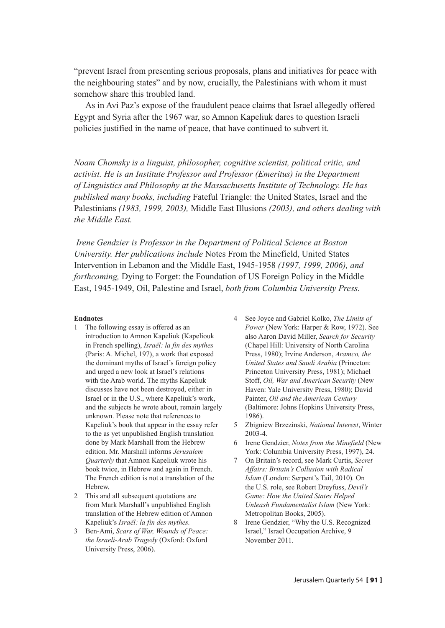"prevent Israel from presenting serious proposals, plans and initiatives for peace with the neighbouring states" and by now, crucially, the Palestinians with whom it must somehow share this troubled land.

As in Avi Paz's expose of the fraudulent peace claims that Israel allegedly offered Egypt and Syria after the 1967 war, so Amnon Kapeliuk dares to question Israeli policies justified in the name of peace, that have continued to subvert it.

*Noam Chomsky is a linguist, philosopher, cognitive scientist, political critic, and activist. He is an Institute Professor and Professor (Emeritus) in the Department of Linguistics and Philosophy at the Massachusetts Institute of Technology. He has published many books, including* Fateful Triangle: the United States, Israel and the Palestinians *(1983, 1999, 2003),* Middle East Illusions *(2003), and others dealing with the Middle East.*

*Irene Gendzier is Professor in the Department of Political Science at Boston University. Her publications include* Notes From the Minefield, United States Intervention in Lebanon and the Middle East, 1945-1958 *(1997, 1999, 2006), and forthcoming,* Dying to Forget: the Foundation of US Foreign Policy in the Middle East, 1945-1949, Oil, Palestine and Israel, *both from Columbia University Press.* 

## **Endnotes**

- 1 The following essay is offered as an introduction to Amnon Kapeliuk (Kapeliouk in French spelling), *Israël: la fin des mythes*  (Paris: A. Michel, 197), a work that exposed the dominant myths of Israel's foreign policy and urged a new look at Israel's relations with the Arab world. The myths Kapeliuk discusses have not been destroyed, either in Israel or in the U.S., where Kapeliuk's work, and the subjects he wrote about, remain largely unknown. Please note that references to Kapeliuk's book that appear in the essay refer to the as yet unpublished English translation done by Mark Marshall from the Hebrew edition. Mr. Marshall informs *Jerusalem Quarterly* that Amnon Kapeliuk wrote his book twice, in Hebrew and again in French. The French edition is not a translation of the Hebrew,
- 2 This and all subsequent quotations are from Mark Marshall's unpublished English translation of the Hebrew edition of Amnon Kapeliuk's *Israël: la fin des mythes.*
- 3 Ben-Ami, *Scars of War, Wounds of Peace: the Israeli-Arab Tragedy* (Oxford: Oxford University Press, 2006).
- 4 See Joyce and Gabriel Kolko, *The Limits of Power* (New York: Harper & Row, 1972). See also Aaron David Miller, *Search for Security* (Chapel Hill: University of North Carolina Press, 1980); Irvine Anderson, *Aramco, the United States and Saudi Arabia* (Princeton: Princeton University Press, 1981); Michael Stoff, *Oil, War and American Security* (New Haven: Yale University Press, 1980); David Painter, *Oil and the American Century* (Baltimore: Johns Hopkins University Press, 1986).
- 5 Zbigniew Brzezinski, *National Interest*, Winter 2003-4.
- 6 Irene Gendzier, *Notes from the Minefield* (New York: Columbia University Press, 1997), 24.
- 7 On Britain's record, see Mark Curtis, *Secret Affairs: Britain's Collusion with Radical Islam* (London: Serpent's Tail, 2010)*.* On the U.S. role, see Robert Dreyfuss, *Devil's Game: How the United States Helped Unleash Fundamentalist Islam* (New York: Metropolitan Books, 2005).
- 8 Irene Gendzier, "Why the U.S. Recognized Israel," Israel Occupation Archive, 9 November 2011.